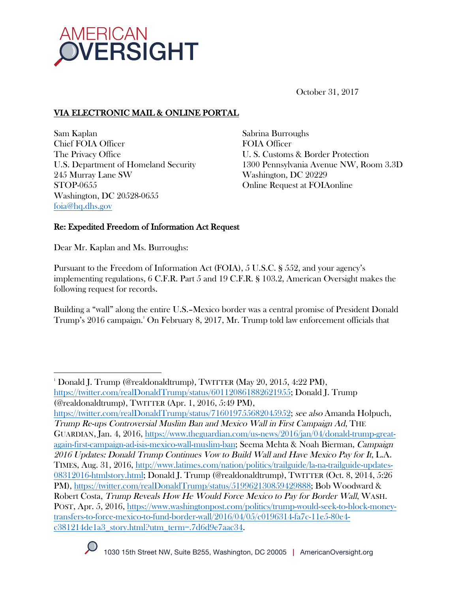

October 31, 2017

# VIA ELECTRONIC MAIL & ONLINE PORTAL

Sam Kaplan Chief FOIA Officer The Privacy Office U.S. Department of Homeland Security 245 Murray Lane SW STOP-0655 Washington, DC 20528-0655 foia@hq.dhs.gov

Sabrina Burroughs FOIA Officer U. S. Customs & Border Protection 1300 Pennsylvania Avenue NW, Room 3.3D Washington, DC 20229 Online Request at FOIAonline

# Re: Expedited Freedom of Information Act Request

Dear Mr. Kaplan and Ms. Burroughs:

 

Pursuant to the Freedom of Information Act (FOIA), 5 U.S.C. § 552, and your agency's implementing regulations, 6 C.F.R. Part 5 and 19 C.F.R. § 103.2, American Oversight makes the following request for records.

Building a "wall" along the entire U.S.–Mexico border was a central promise of President Donald Trump's 2016 campaign.1 On February 8, 2017, Mr. Trump told law enforcement officials that

https://twitter.com/realDonaldTrump/status/716019755682045952; see also Amanda Holpuch, Trump Re-ups Controversial Muslim Ban and Mexico Wall in First Campaign Ad, THE GUARDIAN, Jan. 4, 2016, https://www.theguardian.com/us-news/2016/jan/04/donald-trump-greatagain-first-campaign-ad-isis-mexico-wall-muslim-ban; Seema Mehta & Noah Bierman, Campaign 2016 Updates: Donald Trump Continues Vow to Build Wall and Have Mexico Pay for It, L.A. TIMES, Aug. 31, 2016, http://www.latimes.com/nation/politics/trailguide/la-na-trailguide-updates-08312016-htmlstory.html; Donald J. Trump (@realdonaldtrump), TWITTER (Oct. 8, 2014, 5:26 PM), https://twitter.com/realDonaldTrump/status/519962130859429888; Bob Woodward & Robert Costa, Trump Reveals How He Would Force Mexico to Pay for Border Wall, WASH. POST, Apr. 5, 2016, https://www.washingtonpost.com/politics/trump-would-seek-to-block-moneytransfers-to-force-mexico-to-fund-border-wall/2016/04/05/c0196314-fa7c-11e5-80e4 c381214de1a3\_story.html?utm\_term=.7d6d9e7aac34.



<sup>1</sup> Donald J. Trump (@realdonaldtrump), TWITTER (May 20, 2015, 4:22 PM), https://twitter.com/realDonaldTrump/status/601120861882621955; Donald J. Trump (@realdonaldtrump), TWITTER (Apr. 1, 2016, 5:49 PM),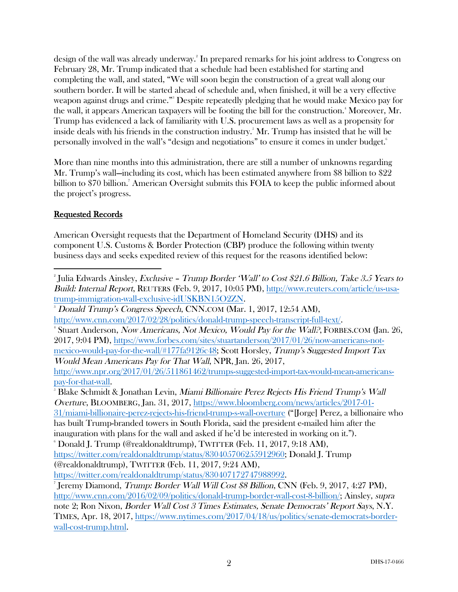design of the wall was already underway. 2 In prepared remarks for his joint address to Congress on February 28, Mr. Trump indicated that a schedule had been established for starting and completing the wall, and stated, "We will soon begin the construction of a great wall along our southern border. It will be started ahead of schedule and, when finished, it will be a very effective weapon against drugs and crime."3 Despite repeatedly pledging that he would make Mexico pay for the wall, it appears American taxpayers will be footing the bill for the construction. $^{\ast}$  Moreover, Mr. Trump has evidenced a lack of familiarity with U.S. procurement laws as well as a propensity for inside deals with his friends in the construction industry. $^{\text{s}}$  Mr. Trump has insisted that he will be personally involved in the wall's "design and negotiations" to ensure it comes in under budget.<sup>6</sup>

More than nine months into this administration, there are still a number of unknowns regarding Mr. Trump's wall—including its cost, which has been estimated anywhere from \$8 billion to \$22 billion to \$70 billion. 7 American Oversight submits this FOIA to keep the public informed about the project's progress.

### Requested Records

 

American Oversight requests that the Department of Homeland Security (DHS) and its component U.S. Customs & Border Protection (CBP) produce the following within twenty business days and seeks expedited review of this request for the reasons identified below:

 $^{\circ}$ Julia Edwards Ainsley, *Exclusive – Trump Border 'Wall' to Cost \$21.6 Billion, Take 3.5 Years to* Build: Internal Report, REUTERS (Feb. 9, 2017, 10:05 PM), http://www.reuters.com/article/us-usatrump-immigration-wall-exclusive-idUSKBN15O2ZN. 3 Donald Trump's Congress Speech, CNN.COM (Mar. 1, 2017, 12:54 AM), http://www.cnn.com/2017/02/28/politics/donald-trump-speech-transcript-full-text/. 4 <sup>4</sup> Stuart Anderson, *Now Americans, Not Mexico, Would Pay for the Wall?*, FORBES.COM (Jan. 26, 2017, 9:04 PM), https://www.forbes.com/sites/stuartanderson/2017/01/26/now-americans-notmexico-would-pay-for-the-wall/#177fa9126c48; Scott Horsley, Trump's Suggested Import Tax Would Mean Americans Pay for That Wall, NPR, Jan. 26, 2017, http://www.npr.org/2017/01/26/511861462/trumps-suggested-import-tax-would-mean-americanspay-for-that-wall. 5 Blake Schmidt & Jonathan Levin, Miami Billionaire Perez Rejects His Friend Trump's Wall Overture, BLOOMBERG, Jan. 31, 2017, https://www.bloomberg.com/news/articles/2017-01- 31/miami-billionaire-perez-rejects-his-friend-trump-s-wall-overture ("[Jorge] Perez, a billionaire who has built Trump-branded towers in South Florida, said the president e-mailed him after the inauguration with plans for the wall and asked if he'd be interested in working on it."). 6  $\degree$  Donald J. Trump (@realdonaldtrump), TWITTER (Feb. 11, 2017, 9:18 AM), https://twitter.com/realdonaldtrump/status/830405706255912960; Donald J. Trump (@realdonaldtrump), TWITTER (Feb. 11, 2017, 9:24 AM), https://twitter.com/realdonaldtrump/status/830407172747988992. 7 Jeremy Diamond, Trump: Border Wall Will Cost \$8 Billion, CNN (Feb. 9, 2017, 4:27 PM), http://www.cnn.com/2016/02/09/politics/donald-trump-border-wall-cost-8-billion/; Ainsley, supra note 2; Ron Nixon, Border Wall Cost 3 Times Estimates, Senate Democrats' Report Says, N.Y.

TIMES, Apr. 18, 2017, https://www.nytimes.com/2017/04/18/us/politics/senate-democrats-borderwall-cost-trump.html.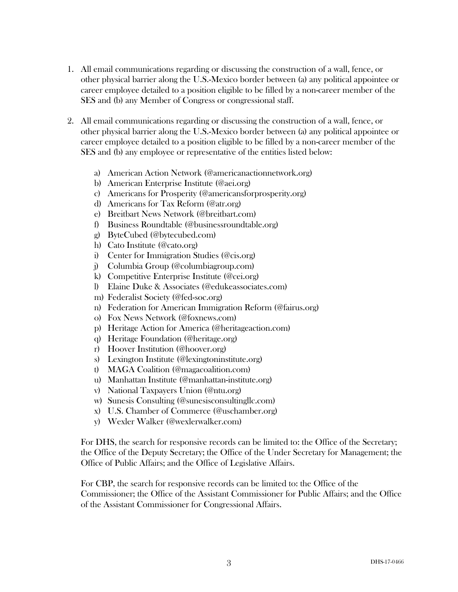- 1. All email communications regarding or discussing the construction of a wall, fence, or other physical barrier along the U.S.-Mexico border between (a) any political appointee or career employee detailed to a position eligible to be filled by a non-career member of the SES and (b) any Member of Congress or congressional staff.
- 2. All email communications regarding or discussing the construction of a wall, fence, or other physical barrier along the U.S.-Mexico border between (a) any political appointee or career employee detailed to a position eligible to be filled by a non-career member of the SES and (b) any employee or representative of the entities listed below:
	- a) American Action Network (@americanactionnetwork.org)
	- b) American Enterprise Institute (@aei.org)
	- c) Americans for Prosperity (@americansforprosperity.org)
	- d) Americans for Tax Reform (@atr.org)
	- e) Breitbart News Network (@breitbart.com)
	- f) Business Roundtable (@businessroundtable.org)
	- g) ByteCubed (@bytecubed.com)
	- h) Cato Institute (@cato.org)
	- i) Center for Immigration Studies (@cis.org)
	- j) Columbia Group (@columbiagroup.com)
	- k) Competitive Enterprise Institute (@cei.org)
	- l) Elaine Duke & Associates (@edukeassociates.com)
	- m) Federalist Society (@fed-soc.org)
	- n) Federation for American Immigration Reform (@fairus.org)
	- o) Fox News Network (@foxnews.com)
	- p) Heritage Action for America (@heritageaction.com)
	- q) Heritage Foundation (@heritage.org)
	- r) Hoover Institution (@hoover.org)
	- s) Lexington Institute (@lexingtoninstitute.org)
	- t) MAGA Coalition (@magacoalition.com)
	- u) Manhattan Institute (@manhattan-institute.org)
	- v) National Taxpayers Union (@ntu.org)
	- w) Sunesis Consulting (@sunesisconsultingllc.com)
	- x) U.S. Chamber of Commerce (@uschamber.org)
	- y) Wexler Walker (@wexlerwalker.com)

For DHS, the search for responsive records can be limited to: the Office of the Secretary; the Office of the Deputy Secretary; the Office of the Under Secretary for Management; the Office of Public Affairs; and the Office of Legislative Affairs.

For CBP, the search for responsive records can be limited to: the Office of the Commissioner; the Office of the Assistant Commissioner for Public Affairs; and the Office of the Assistant Commissioner for Congressional Affairs.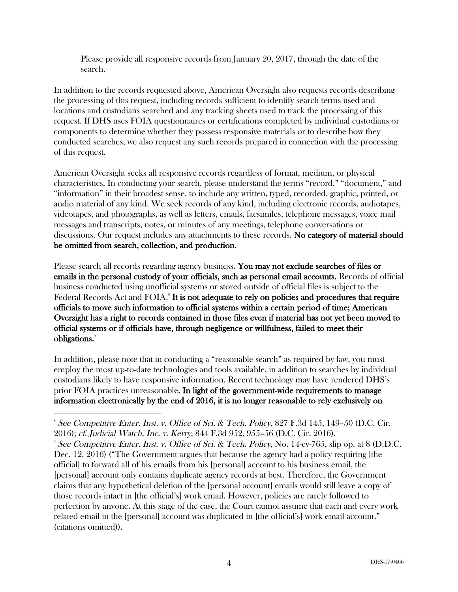Please provide all responsive records from January 20, 2017, through the date of the search.

In addition to the records requested above, American Oversight also requests records describing the processing of this request, including records sufficient to identify search terms used and locations and custodians searched and any tracking sheets used to track the processing of this request. If DHS uses FOIA questionnaires or certifications completed by individual custodians or components to determine whether they possess responsive materials or to describe how they conducted searches, we also request any such records prepared in connection with the processing of this request.

American Oversight seeks all responsive records regardless of format, medium, or physical characteristics. In conducting your search, please understand the terms "record," "document," and "information" in their broadest sense, to include any written, typed, recorded, graphic, printed, or audio material of any kind. We seek records of any kind, including electronic records, audiotapes, videotapes, and photographs, as well as letters, emails, facsimiles, telephone messages, voice mail messages and transcripts, notes, or minutes of any meetings, telephone conversations or discussions. Our request includes any attachments to these records. No category of material should be omitted from search, collection, and production.

Please search all records regarding agency business. You may not exclude searches of files or emails in the personal custody of your officials, such as personal email accounts. Records of official business conducted using unofficial systems or stored outside of official files is subject to the Federal Records Act and FOIA.<sup>8</sup> It is not adequate to rely on policies and procedures that require officials to move such information to official systems within a certain period of time; American Oversight has a right to records contained in those files even if material has not yet been moved to official systems or if officials have, through negligence or willfulness, failed to meet their obligations.<sup>9</sup>

In addition, please note that in conducting a "reasonable search" as required by law, you must employ the most up-to-date technologies and tools available, in addition to searches by individual custodians likely to have responsive information. Recent technology may have rendered DHS's prior FOIA practices unreasonable. In light of the government-wide requirements to manage information electronically by the end of 2016, it is no longer reasonable to rely exclusively on

 8 See Competitive Enter. Inst. v. Office of Sci. & Tech. Policy, 827 F.3d 145, 149–50 (D.C. Cir. 2016); cf. Judicial Watch, Inc. v. Kerry, 844 F.3d 952, 955–56 (D.C. Cir. 2016). 9

<sup>&</sup>lt;sup>9</sup> See Competitive Enter. Inst. v. Office of Sci. & Tech. Policy, No. 14-cv-765, slip op. at 8 (D.D.C. Dec. 12, 2016) ("The Government argues that because the agency had a policy requiring [the official] to forward all of his emails from his [personal] account to his business email, the [personal] account only contains duplicate agency records at best. Therefore, the Government claims that any hypothetical deletion of the [personal account] emails would still leave a copy of those records intact in [the official's] work email. However, policies are rarely followed to perfection by anyone. At this stage of the case, the Court cannot assume that each and every work related email in the [personal] account was duplicated in [the official's] work email account." (citations omitted)).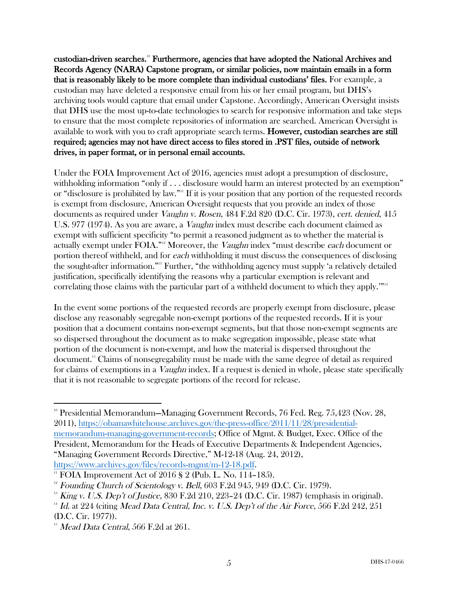custodian-driven searches.10 Furthermore, agencies that have adopted the National Archives and Records Agency (NARA) Capstone program, or similar policies, now maintain emails in a form that is reasonably likely to be more complete than individual custodians' files. For example, a custodian may have deleted a responsive email from his or her email program, but DHS's archiving tools would capture that email under Capstone. Accordingly, American Oversight insists that DHS use the most up-to-date technologies to search for responsive information and take steps to ensure that the most complete repositories of information are searched. American Oversight is available to work with you to craft appropriate search terms. However, custodian searches are still required; agencies may not have direct access to files stored in .PST files, outside of network drives, in paper format, or in personal email accounts.

Under the FOIA Improvement Act of 2016, agencies must adopt a presumption of disclosure, withholding information "only if . . . disclosure would harm an interest protected by an exemption" or "disclosure is prohibited by law."<sup>11</sup> If it is your position that any portion of the requested records is exempt from disclosure, American Oversight requests that you provide an index of those documents as required under Vaughn v. Rosen, 484 F.2d 820 (D.C. Cir. 1973), cert. denied, 415 U.S. 977 (1974). As you are aware, a *Vaughn* index must describe each document claimed as exempt with sufficient specificity "to permit a reasoned judgment as to whether the material is actually exempt under FOIA."<sup>12</sup> Moreover, the Vaughn index "must describe each document or portion thereof withheld, and for each withholding it must discuss the consequences of disclosing the sought-after information."13 Further, "the withholding agency must supply 'a relatively detailed justification, specifically identifying the reasons why a particular exemption is relevant and correlating those claims with the particular part of a withheld document to which they apply.'"<sup>14</sup>

In the event some portions of the requested records are properly exempt from disclosure, please disclose any reasonably segregable non-exempt portions of the requested records. If it is your position that a document contains non-exempt segments, but that those non-exempt segments are so dispersed throughout the document as to make segregation impossible, please state what portion of the document is non-exempt, and how the material is dispersed throughout the document.15 Claims of nonsegregability must be made with the same degree of detail as required for claims of exemptions in a *Vaughn* index. If a request is denied in whole, please state specifically that it is not reasonable to segregate portions of the record for release.

 <sup>10</sup> Presidential Memorandum—Managing Government Records, 76 Fed. Reg. 75,423 (Nov. 28, 2011), https://obamawhitehouse.archives.gov/the-press-office/2011/11/28/presidentialmemorandum-managing-government-records; Office of Mgmt. & Budget, Exec. Office of the President, Memorandum for the Heads of Executive Departments & Independent Agencies, "Managing Government Records Directive," M-12-18 (Aug. 24, 2012),

https://www.archives.gov/files/records-mgmt/m-12-18.pdf.<br>
<sup>11</sup> FOIA Improvement Act of 2016 § 2 (Pub. L. No. 114–185).

 $12$  Founding Church of Scientology v. Bell, 603 F.2d 945, 949 (D.C. Cir. 1979).

 $13$  King v. U.S. Dep't of Justice, 830 F.2d 210, 223-24 (D.C. Cir. 1987) (emphasis in original).

 $14$  Id. at 224 (citing Mead Data Central, Inc. v. U.S. Dep't of the Air Force, 566 F.2d 242, 251 (D.C. Cir. 1977)).

 $15$  Mead Data Central, 566 F.2d at 261.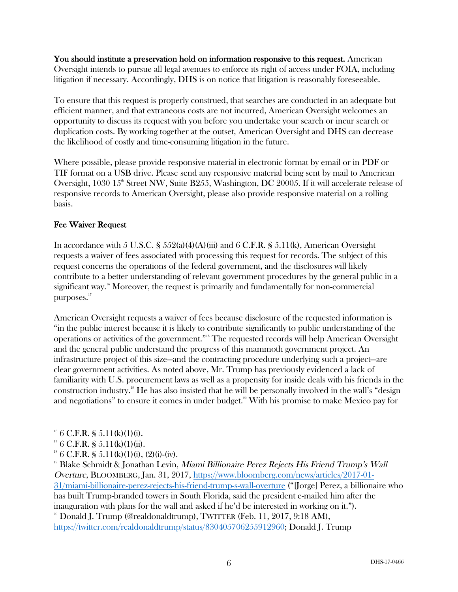You should institute a preservation hold on information responsive to this request. American Oversight intends to pursue all legal avenues to enforce its right of access under FOIA, including litigation if necessary. Accordingly, DHS is on notice that litigation is reasonably foreseeable.

To ensure that this request is properly construed, that searches are conducted in an adequate but efficient manner, and that extraneous costs are not incurred, American Oversight welcomes an opportunity to discuss its request with you before you undertake your search or incur search or duplication costs. By working together at the outset, American Oversight and DHS can decrease the likelihood of costly and time-consuming litigation in the future.

Where possible, please provide responsive material in electronic format by email or in PDF or TIF format on a USB drive. Please send any responsive material being sent by mail to American Oversight,  $1030 \, 15^{\text{th}}$  Street NW, Suite B255, Washington, DC 20005. If it will accelerate release of responsive records to American Oversight, please also provide responsive material on a rolling basis.

# Fee Waiver Request

In accordance with 5 U.S.C. §  $552(a)(4)(A)(iii)$  and 6 C.F.R. §  $5.11(k)$ , American Oversight requests a waiver of fees associated with processing this request for records. The subject of this request concerns the operations of the federal government, and the disclosures will likely contribute to a better understanding of relevant government procedures by the general public in a significant way.<sup>16</sup> Moreover, the request is primarily and fundamentally for non-commercial purposes.<sup>17</sup>

American Oversight requests a waiver of fees because disclosure of the requested information is "in the public interest because it is likely to contribute significantly to public understanding of the operations or activities of the government."<sup>8</sup> The requested records will help American Oversight and the general public understand the progress of this mammoth government project. An infrastructure project of this size—and the contracting procedure underlying such a project—are clear government activities. As noted above, Mr. Trump has previously evidenced a lack of familiarity with U.S. procurement laws as well as a propensity for inside deals with his friends in the construction industry.19 He has also insisted that he will be personally involved in the wall's "design and negotiations" to ensure it comes in under budget.<sup>20</sup> With his promise to make Mexico pay for

 

https://twitter.com/realdonaldtrump/status/830405706255912960; Donald J. Trump

<sup>&</sup>lt;sup>16</sup> 6 C.F.R. § 5.11(k)(1)(i).

 $176$  C.F.R. § 5.11(k)(1)(ii).

 $18 \text{ } 6 \text{ } C.F.R. \text{ } S \text{ } 5.11(k)(1)(i), (2)(i)-(iv).$ 

<sup>&</sup>lt;sup>19</sup> Blake Schmidt & Jonathan Levin, Miami Billionaire Perez Rejects His Friend Trump's Wall Overture, BLOOMBERG, Jan. 31, 2017, https://www.bloomberg.com/news/articles/2017-01- 31/miami-billionaire-perez-rejects-his-friend-trump-s-wall-overture ("[Jorge] Perez, a billionaire who has built Trump-branded towers in South Florida, said the president e-mailed him after the inauguration with plans for the wall and asked if he'd be interested in working on it.").  $20$  Donald J. Trump (@realdonaldtrump), TWITTER (Feb. 11, 2017, 9:18 AM),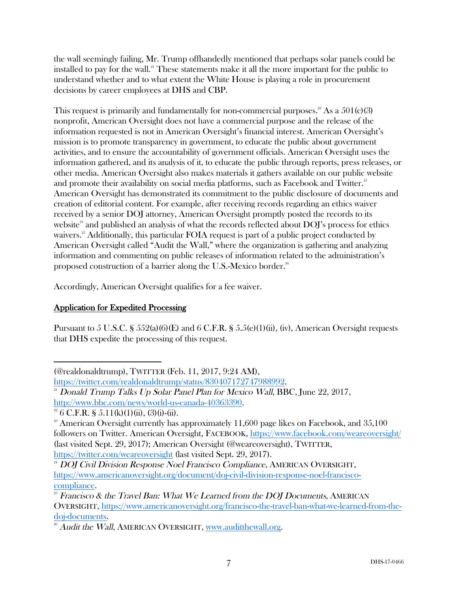the wall seemingly failing, Mr. Trump offhandedly mentioned that perhaps solar panels could be installed to pay for the wall.<sup>21</sup> These statements make it all the more important for the public to understand whether and to what extent the White House is playing a role in procurement decisions by career employees at DHS and CBP.

This request is primarily and fundamentally for non-commercial purposes.<sup>22</sup> As a  $501(c)(3)$ nonprofit, American Oversight does not have a commercial purpose and the release of the information requested is not in American Oversight's financial interest. American Oversight's mission is to promote transparency in government, to educate the public about government activities, and to ensure the accountability of government officials. American Oversight uses the information gathered, and its analysis of it, to educate the public through reports, press releases, or other media. American Oversight also makes materials it gathers available on our public website and promote their availability on social media platforms, such as Facebook and Twitter.<sup>23</sup> American Oversight has demonstrated its commitment to the public disclosure of documents and creation of editorial content. For example, after receiving records regarding an ethics waiver received by a senior DOJ attorney, American Oversight promptly posted the records to its website $^{24}$  and published an analysis of what the records reflected about DOJ's process for ethics waivers.<sup>25</sup> Additionally, this particular FOIA request is part of a public project conducted by American Oversight called "Audit the Wall," where the organization is gathering and analyzing information and commenting on public releases of information related to the administration's proposed construction of a barrier along the U.S.-Mexico border.<del>"</del>

Accordingly, American Oversight qualifies for a fee waiver.

# Application for Expedited Processing

Pursuant to 5 U.S.C. § 552(a)(6)(E) and 6 C.F.R. § 5.5(e)(1)(ii), (iv), American Oversight requests that DHS expedite the processing of this request.

 

<sup>(@</sup>realdonaldtrump), TWITTER (Feb. 11, 2017, 9:24 AM),

https://twitter.com/realdonaldtrump/status/830407172747988992.

 $21$  Donald Trump Talks Up Solar Panel Plan for Mexico Wall, BBC, June 22, 2017, http://www.bbc.com/news/world-us-canada-40363390.<br><sup>22</sup> 6 C.F.R. § 5.11(k)(1)(ii), (3)(i)-(ii).

 $^{23}$  American Oversight currently has approximately 11,600 page likes on Facebook, and 35,100 followers on Twitter. American Oversight, FACEBOOK, https://www.facebook.com/weareoversight/ (last visited Sept. 29, 2017); American Oversight (@weareoversight), TWITTER, https://twitter.com/weareoversight (last visited Sept. 29, 2017).

<sup>&</sup>lt;sup>24</sup> DOJ Civil Division Response Noel Francisco Compliance, AMERICAN OVERSIGHT, https://www.americanoversight.org/document/doj-civil-division-response-noel-franciscocompliance.

 $\frac{25}{25}$  Francisco & the Travel Ban: What We Learned from the DOJ Documents, AMERICAN OVERSIGHT, https://www.americanoversight.org/francisco-the-travel-ban-what-we-learned-from-thedoj-documents.<br><sup>26</sup> Audit the Wall, AMERICAN OVERSIGHT, www.auditthewall.org.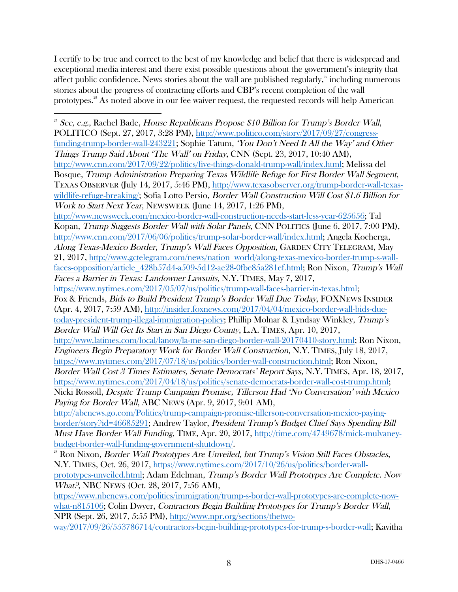I certify to be true and correct to the best of my knowledge and belief that there is widespread and exceptional media interest and there exist possible questions about the government's integrity that affect public confidence. News stories about the wall are published regularly, $\frac{y}{r}$  including numerous stories about the progress of contracting efforts and CBP's recent completion of the wall prototypes. <sup>28</sup> As noted above in our fee waiver request, the requested records will help American

 <sup>27</sup> See, e.g., Rachel Bade, House Republicans Propose \$10 Billion for Trump's Border Wall, POLITICO (Sept. 27, 2017, 3:28 PM), http://www.politico.com/story/2017/09/27/congressfunding-trump-border-wall-243221; Sophie Tatum, 'You Don't Need It All the Way' and Other Things Trump Said About 'The Wall' on Friday, CNN (Sept. 23, 2017, 10:40 AM), http://www.cnn.com/2017/09/22/politics/five-things-donald-trump-wall/index.html; Melissa del Bosque, Trump Administration Preparing Texas Wildlife Refuge for First Border Wall Segment, TEXAS OBSERVER (July 14, 2017, 5:46 PM), http://www.texasobserver.org/trump-border-wall-texaswildlife-refuge-breaking/; Sofia Lotto Persio, *Border Wall Construction Will Cost \$1.6 Billion for* Work to Start Next Year, NEWSWEEK (June 14, 2017, 1:26 PM), http://www.newsweek.com/mexico-border-wall-construction-needs-start-less-year-625656; Tal Kopan, Trump Suggests Border Wall with Solar Panels, CNN POLITICS (June 6, 2017, 7:00 PM), http://www.cnn.com/2017/06/06/politics/trump-solar-border-wall/index.html; Angela Kocherga, Along Texas-Mexico Border, Trump's Wall Faces Opposition, GARDEN CITY TELEGRAM, May 21, 2017, http://www.gctelegram.com/news/nation\_world/along-texas-mexico-border-trump-s-wallfaces-opposition/article\_428b57d4-a509-5d12-ae28-0fbe85a281ef.html; Ron Nixon, Trump's Wall Faces a Barrier in Texas: Landowner Lawsuits, N.Y. TIMES, May 7, 2017, https://www.nytimes.com/2017/05/07/us/politics/trump-wall-faces-barrier-in-texas.html; Fox & Friends, Bids to Build President Trump's Border Wall Due Today, FOXNEWS INSIDER (Apr. 4, 2017, 7:59 AM), http://insider.foxnews.com/2017/04/04/mexico-border-wall-bids-duetoday-president-trump-illegal-immigration-policy; Phillip Molnar & Lyndsay Winkley, Trump's Border Wall Will Get Its Start in San Diego County, L.A. TIMES, Apr. 10, 2017, http://www.latimes.com/local/lanow/la-me-san-diego-border-wall-20170410-story.html; Ron Nixon, Engineers Begin Preparatory Work for Border Wall Construction, N.Y. TIMES, July 18, 2017, https://www.nytimes.com/2017/07/18/us/politics/border-wall-construction.html; Ron Nixon, Border Wall Cost 3 Times Estimates, Senate Democrats' Report Says, N.Y. TIMES, Apr. 18, 2017, https://www.nytimes.com/2017/04/18/us/politics/senate-democrats-border-wall-cost-trump.html; Nicki Rossoll, Despite Trump Campaign Promise, Tillerson Had 'No Conversation' with Mexico Paying for Border Wall, ABC NEWS (Apr. 9, 2017, 9:01 AM), http://abcnews.go.com/Politics/trump-campaign-promise-tillerson-conversation-mexico-payingborder/story?id=46685291; Andrew Taylor, President Trump's Budget Chief Says Spending Bill Must Have Border Wall Funding, TIME, Apr. 20, 2017, http://time.com/4749678/mick-mulvaneybudget-border-wall-funding-government-shutdown/. <sup>28</sup> Ron Nixon, Border Wall Prototypes Are Unveiled, but Trump's Vision Still Faces Obstacles, N.Y. TIMES, Oct. 26, 2017, https://www.nytimes.com/2017/10/26/us/politics/border-wallprototypes-unveiled.html; Adam Edelman, Trump's Border Wall Prototypes Are Complete. Now What?, NBC NEWS (Oct. 28, 2017, 7:56 AM), https://www.nbcnews.com/politics/immigration/trump-s-border-wall-prototypes-are-complete-nowwhat-n815106; Colin Dwyer, Contractors Begin Building Prototypes for Trump's Border Wall,

NPR (Sept. 26, 2017, 5:55 PM), http://www.npr.org/sections/thetwoway/2017/09/26/553786714/contractors-begin-building-prototypes-for-trump-s-border-wall; Kavitha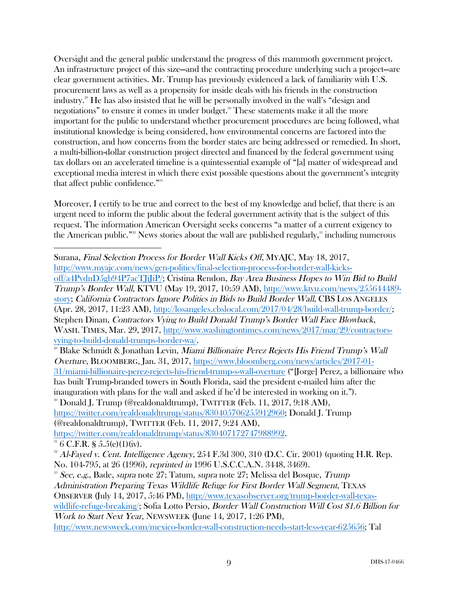Oversight and the general public understand the progress of this mammoth government project. An infrastructure project of this size—and the contracting procedure underlying such a project—are clear government activities. Mr. Trump has previously evidenced a lack of familiarity with U.S. procurement laws as well as a propensity for inside deals with his friends in the construction industry.29 He has also insisted that he will be personally involved in the wall's "design and negotiations" to ensure it comes in under budget.<sup>30</sup> These statements make it all the more important for the public to understand whether procurement procedures are being followed, what institutional knowledge is being considered, how environmental concerns are factored into the construction, and how concerns from the border states are being addressed or remedied. In short, a multi-billion-dollar construction project directed and financed by the federal government using tax dollars on an accelerated timeline is a quintessential example of "[a] matter of widespread and exceptional media interest in which there exist possible questions about the government's integrity that affect public confidence."<sup>31</sup>

Moreover, I certify to be true and correct to the best of my knowledge and belief, that there is an urgent need to inform the public about the federal government activity that is the subject of this request. The information American Oversight seeks concerns "a matter of a current exigency to the American public."<sup>32</sup> News stories about the wall are published regularly, $33$  including numerous

 

Surana, Final Selection Process for Border Wall Kicks Off, MYAJC, May 18, 2017, http://www.myajc.com/news/gen-politics/final-selection-process-for-border-wall-kicksoff/a4PvdnD5gb94P7acTJiJiP/; Cristina Rendon, Bay Area Business Hopes to Win Bid to Build Trump's Border Wall, KTVU (May 19, 2017, 10:59 AM), http://www.ktvu.com/news/255644489 story; California Contractors Ignore Politics in Bids to Build Border Wall, CBS LOS ANGELES (Apr. 28, 2017, 11:23 AM), http://losangeles.cbslocal.com/2017/04/28/build-wall-trump-border/; Stephen Dinan, Contractors Vying to Build Donald Trump's Border Wall Face Blowback, WASH. TIMES, Mar. 29, 2017, http://www.washingtontimes.com/news/2017/mar/29/contractorsvying-to-build-donald-trumps-border-wa/.

<sup>29</sup> Blake Schmidt & Jonathan Levin, Miami Billionaire Perez Rejects His Friend Trump's Wall Overture, BLOOMBERG, Jan. 31, 2017, https://www.bloomberg.com/news/articles/2017-01- 31/miami-billionaire-perez-rejects-his-friend-trump-s-wall-overture ("[Jorge] Perez, a billionaire who has built Trump-branded towers in South Florida, said the president e-mailed him after the inauguration with plans for the wall and asked if he'd be interested in working on it.").<br><sup>30</sup> Donald J. Trump (@realdonaldtrump), TWITTER (Feb. 11, 2017, 9:18 AM), https://twitter.com/realdonaldtrump/status/830405706255912960; Donald J. Trump (@realdonaldtrump), TWITTER (Feb. 11, 2017, 9:24 AM), https://twitter.com/realdonaldtrump/status/830407172747988992.  $31\,6$  C.F.R. § 5.5(e)(1)(iv).

 $32$  Al-Fayed v. Cent. Intelligence Agency, 254 F.3d 300, 310 (D.C. Cir. 2001) (quoting H.R. Rep. No. 104-795, at 26 (1996), reprinted in 1996 U.S.C.C.A.N. 3448, 3469).  $^{33}$  See, e.g., Bade, supra note 27; Tatum, supra note 27; Melissa del Bosque, Trump Administration Preparing Texas Wildlife Refuge for First Border Wall Segment, TEXAS OBSERVER (July 14, 2017, 5:46 PM), http://www.texasobserver.org/trump-border-wall-texaswildlife-refuge-breaking: Sofia Lotto Persio, Border Wall Construction Will Cost \$1.6 Billion for Work to Start Next Year, NEWSWEEK (June 14, 2017, 1:26 PM), http://www.newsweek.com/mexico-border-wall-construction-needs-start-less-year-625656; Tal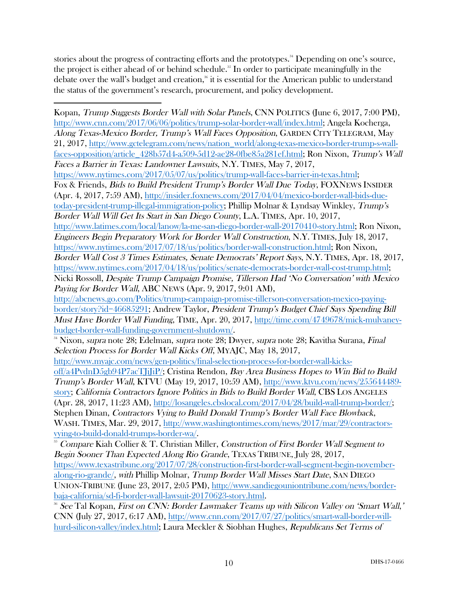stories about the progress of contracting efforts and the prototypes. <sup>34</sup> Depending on one's source, the project is either ahead of or behind schedule.<sup>35</sup> In order to participate meaningfully in the debate over the wall's budget and creation, <sup>36</sup> it is essential for the American public to understand the status of the government's research, procurement, and policy development.

 Kopan, Trump Suggests Border Wall with Solar Panels, CNN POLITICS (June 6, 2017, 7:00 PM), http://www.cnn.com/2017/06/06/politics/trump-solar-border-wall/index.html; Angela Kocherga, Along Texas-Mexico Border, Trump's Wall Faces Opposition, GARDEN CITY TELEGRAM, May 21, 2017, http://www.gctelegram.com/news/nation\_world/along-texas-mexico-border-trump-s-wallfaces-opposition/article\_428b57d4-a509-5d12-ae28-0fbe85a281ef.html; Ron Nixon, Trump's Wall Faces a Barrier in Texas: Landowner Lawsuits, N.Y. TIMES, May 7, 2017, https://www.nytimes.com/2017/05/07/us/politics/trump-wall-faces-barrier-in-texas.html; Fox & Friends, Bids to Build President Trump's Border Wall Due Today, FOXNEWS INSIDER (Apr. 4, 2017, 7:59 AM), http://insider.foxnews.com/2017/04/04/mexico-border-wall-bids-duetoday-president-trump-illegal-immigration-policy; Phillip Molnar & Lyndsay Winkley, Trump's Border Wall Will Get Its Start in San Diego County, L.A. TIMES, Apr. 10, 2017, http://www.latimes.com/local/lanow/la-me-san-diego-border-wall-20170410-story.html; Ron Nixon, Engineers Begin Preparatory Work for Border Wall Construction, N.Y. TIMES, July 18, 2017, https://www.nytimes.com/2017/07/18/us/politics/border-wall-construction.html; Ron Nixon, Border Wall Cost 3 Times Estimates, Senate Democrats' Report Says, N.Y. TIMES, Apr. 18, 2017, https://www.nytimes.com/2017/04/18/us/politics/senate-democrats-border-wall-cost-trump.html; Nicki Rossoll, Despite Trump Campaign Promise, Tillerson Had 'No Conversation' with Mexico Paying for Border Wall, ABC NEWS (Apr. 9, 2017, 9:01 AM), http://abcnews.go.com/Politics/trump-campaign-promise-tillerson-conversation-mexico-payingborder/story?id=46685291; Andrew Taylor, President Trump's Budget Chief Says Spending Bill Must Have Border Wall Funding, TIME, Apr. 20, 2017, http://time.com/4749678/mick-mulvaneybudget-border-wall-funding-government-shutdown/. <sup>34</sup> Nixon, *supra* note 28; Edelman, *supra* note 28; Dwyer, *supra* note 28; Kavitha Surana, *Final* Selection Process for Border Wall Kicks Off, MYAJC, May 18, 2017, http://www.myajc.com/news/gen-politics/final-selection-process-for-border-wall-kicksoff/a4PvdnD5gb94P7acTJiJiP/; Cristina Rendon, Bay Area Business Hopes to Win Bid to Build Trump's Border Wall, KTVU (May 19, 2017, 10:59 AM), http://www.ktvu.com/news/255644489 story; California Contractors Ignore Politics in Bids to Build Border Wall, CBS LOS ANGELES (Apr. 28, 2017, 11:23 AM), http://losangeles.cbslocal.com/2017/04/28/build-wall-trump-border/; Stephen Dinan, Contractors Vying to Build Donald Trump's Border Wall Face Blowback, WASH. TIMES, Mar. 29, 2017, http://www.washingtontimes.com/news/2017/mar/29/contractorsvying-to-build-donald-trumps-border-wa/. <sup>35</sup> Compare Kiah Collier & T. Christian Miller, Construction of First Border Wall Segment to Begin Sooner Than Expected Along Rio Grande, TEXAS TRIBUNE, July 28, 2017, https://www.texastribune.org/2017/07/28/construction-first-border-wall-segment-begin-novemberalong-rio-grande/, with Phillip Molnar, Trump Border Wall Misses Start Date, SAN DIEGO UNION-TRIBUNE (June 23, 2017, 2:05 PM), http://www.sandiegouniontribune.com/news/border-

baja-california/sd-fi-border-wall-lawsuit-20170623-story.html.<br><sup>36</sup> See Tal Kopan, First on CNN: Border Lawmaker Teams up with Silicon Valley on 'Smart Wall,' CNN (July 27, 2017, 6:17 AM), http://www.cnn.com/2017/07/27/politics/smart-wall-border-willhurd-silicon-valley/index.html; Laura Meckler & Siobhan Hughes, Republicans Set Terms of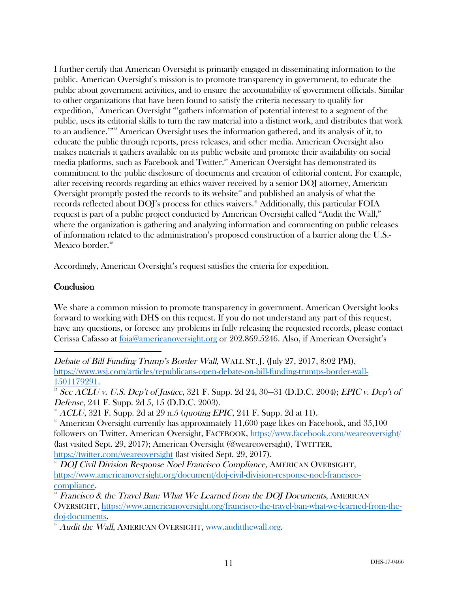I further certify that American Oversight is primarily engaged in disseminating information to the public. American Oversight's mission is to promote transparency in government, to educate the public about government activities, and to ensure the accountability of government officials. Similar to other organizations that have been found to satisfy the criteria necessary to qualify for expedition,<sup>37</sup> American Oversight "'gathers information of potential interest to a segment of the public, uses its editorial skills to turn the raw material into a distinct work, and distributes that work to an audience."<sup>388</sup> American Oversight uses the information gathered, and its analysis of it, to educate the public through reports, press releases, and other media. American Oversight also makes materials it gathers available on its public website and promote their availability on social media platforms, such as Facebook and Twitter.<sup>39</sup> American Oversight has demonstrated its commitment to the public disclosure of documents and creation of editorial content. For example, after receiving records regarding an ethics waiver received by a senior DOJ attorney, American Oversight promptly posted the records to its website<sup>40</sup> and published an analysis of what the records reflected about DOJ's process for ethics waivers.<sup>41</sup> Additionally, this particular FOIA request is part of a public project conducted by American Oversight called "Audit the Wall," where the organization is gathering and analyzing information and commenting on public releases of information related to the administration's proposed construction of a barrier along the U.S.- Mexico border. 42

Accordingly, American Oversight's request satisfies the criteria for expedition.

### **Conclusion**

We share a common mission to promote transparency in government. American Oversight looks forward to working with DHS on this request. If you do not understand any part of this request, have any questions, or foresee any problems in fully releasing the requested records, please contact Cerissa Cafasso at foia@americanoversight.org or 202.869.5246. Also, if American Oversight's

 Debate of Bill Funding Trump's Border Wall, WALL ST. J. (July 27, 2017, 8:02 PM), https://www.wsj.com/articles/republicans-open-debate-on-bill-funding-trumps-border-wall-

 $\frac{1501179291}{37}$  See ACLU v. U.S. Dep't of Justice, 321 F. Supp. 2d 24, 30–31 (D.D.C. 2004); EPIC v. Dep't of Defense, 241 F. Supp. 2d 5, 15 (D.D.C. 2003).

<sup>38</sup> ACLU, 321 F. Supp. 2d at 29 n.5 (quoting EPIC, 241 F. Supp. 2d at 11).

 $\degree$  American Oversight currently has approximately 11,600 page likes on Facebook, and 35,100 followers on Twitter. American Oversight, FACEBOOK, https://www.facebook.com/weareoversight/ (last visited Sept. 29, 2017); American Oversight (@weareoversight), TWITTER, https://twitter.com/weareoversight (last visited Sept. 29, 2017).

<sup>40</sup> DOJ Civil Division Response Noel Francisco Compliance, AMERICAN OVERSIGHT, https://www.americanoversight.org/document/doj-civil-division-response-noel-francisco-

 $41$  Francisco & the Travel Ban: What We Learned from the DOJ Documents, AMERICAN OVERSIGHT, https://www.americanoversight.org/francisco-the-travel-ban-what-we-learned-from-thedoj-documents.

 $42$  Audit the Wall, AMERICAN OVERSIGHT, www.auditthewall.org.